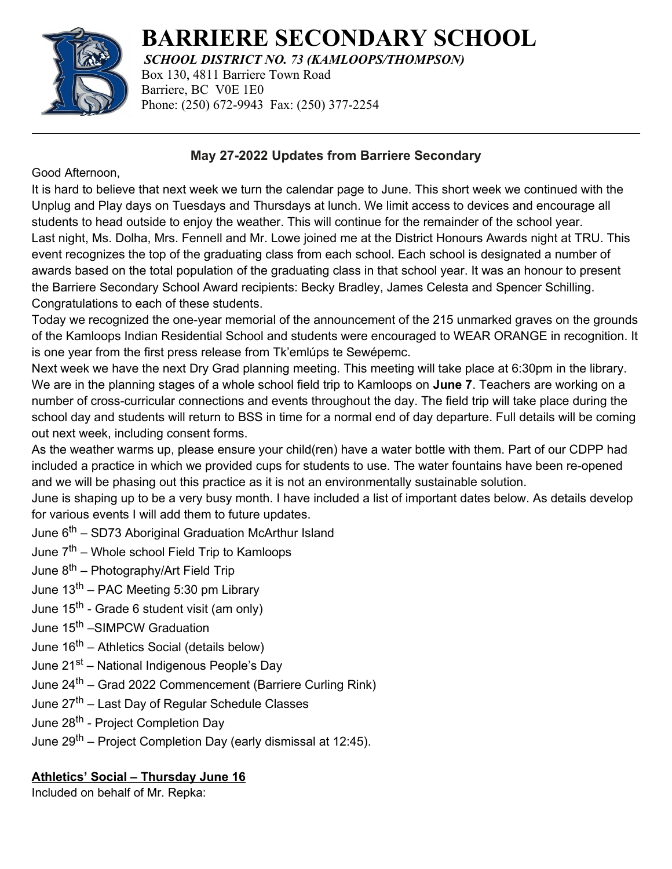

**BARRIERE SECONDARY SCHOOL**

*SCHOOL DISTRICT NO. 73 (KAMLOOPS/THOMPSON)*

Box 130, 4811 Barriere Town Road Barriere, BC V0E 1E0 Phone: (250) 672-9943 Fax: (250) 377-2254

### **May 27-2022 Updates from Barriere Secondary**

Good Afternoon,

It is hard to believe that next week we turn the calendar page to June. This short week we continued with the Unplug and Play days on Tuesdays and Thursdays at lunch. We limit access to devices and encourage all students to head outside to enjoy the weather. This will continue for the remainder of the school year. Last night, Ms. Dolha, Mrs. Fennell and Mr. Lowe joined me at the District Honours Awards night at TRU. This event recognizes the top of the graduating class from each school. Each school is designated a number of awards based on the total population of the graduating class in that school year. It was an honour to present the Barriere Secondary School Award recipients: Becky Bradley, James Celesta and Spencer Schilling. Congratulations to each of these students.

Today we recognized the one-year memorial of the announcement of the 215 unmarked graves on the grounds of the Kamloops Indian Residential School and students were encouraged to WEAR ORANGE in recognition. It is one year from the first press release from Tk'emlúps te Sewépemc.

Next week we have the next Dry Grad planning meeting. This meeting will take place at 6:30pm in the library. We are in the planning stages of a whole school field trip to Kamloops on **June 7**. Teachers are working on a number of cross-curricular connections and events throughout the day. The field trip will take place during the school day and students will return to BSS in time for a normal end of day departure. Full details will be coming out next week, including consent forms.

As the weather warms up, please ensure your child(ren) have a water bottle with them. Part of our CDPP had included a practice in which we provided cups for students to use. The water fountains have been re-opened and we will be phasing out this practice as it is not an environmentally sustainable solution.

June is shaping up to be a very busy month. I have included a list of important dates below. As details develop for various events I will add them to future updates.

June 6<sup>th</sup> – SD73 Aboriginal Graduation McArthur Island

June  $7^{th}$  – Whole school Field Trip to Kamloops

June  $8^{th}$  – Photography/Art Field Trip

- June  $13<sup>th</sup>$  PAC Meeting 5:30 pm Library
- June 15<sup>th</sup> Grade 6 student visit (am only)
- June 15<sup>th</sup> –SIMPCW Graduation
- June  $16<sup>th</sup>$  Athletics Social (details below)
- June 21<sup>st</sup> National Indigenous People's Day
- June 24<sup>th</sup> Grad 2022 Commencement (Barriere Curling Rink)
- June 27<sup>th</sup> Last Day of Regular Schedule Classes
- June 28<sup>th</sup> Project Completion Day
- June 29<sup>th</sup> Project Completion Day (early dismissal at 12:45).

## **Athletics' Social – Thursday June 16**

Included on behalf of Mr. Repka: